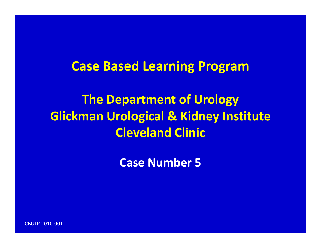# **Case Based Learning Program**

**The Department of Urology Glickman Urological & Kidney Institute Cleveland Clinic**

**Case Number 5**

CBULP 2010‐001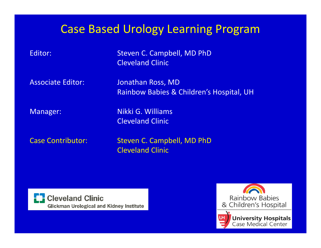# Case Based Urology Learning Program

 Steven C. Campbell, MD PhD Cleveland Clinic

**Associate Editor:** 

 Editor: Jonathan Ross, MD Rainbow Babies & Children's Hospital, UH

Editor:

Manager: Nikki G. Williams Cleveland Clinic

Case Contributor: Steven

Steven C. Campbell, MD PhD Cleveland Clinic



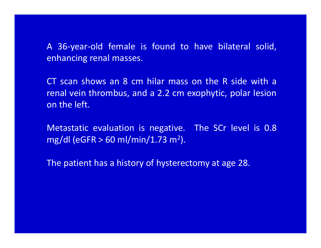A 36‐year‐old female is found to have bilateral solid, enhancing renal masses.

CT scan shows an 8 cm hilar mass on the R side with a renal vein thrombus, and <sup>a</sup> 2.2 cm exophytic, polar lesion on the left.

Metastatic evaluation is negative. The SCr level is 0.8 mg/dl (eGFR  $> 60$  ml/min/1.73 m<sup>2</sup>).

The patient has <sup>a</sup> history of hysterectomy at age 28.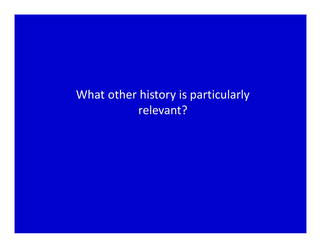# What other history is particularly relevant?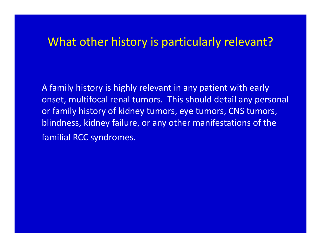#### What other history is particularly relevant?

A family history is highly relevant in any patient with early onset, multifocal renal tumors. This should detail any personal or family history of kidney tumors, eye tumors, CNS tumors, blindness, kidney failure, or any other manifestations of the familial RCC syndromes.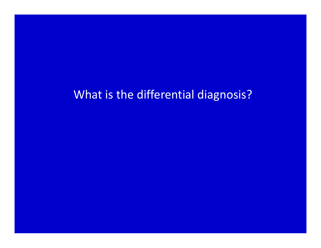## What is the differential diagnosis?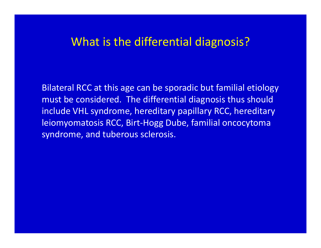#### What is the differential diagnosis?

Bilateral RCC at this age can be sporadic but familial etiology must be considered. The differential diagnosis thus should include VHL syndrome, hereditary papillary RCC, hereditary leiomyomatosis RCC, Birt‐Hogg Dube, familial oncocytoma syndrome, and tuberous sclerosis.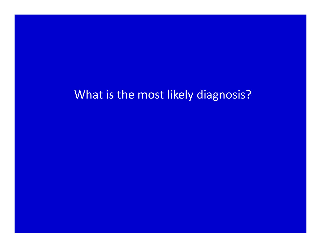## What is the most likely diagnosis?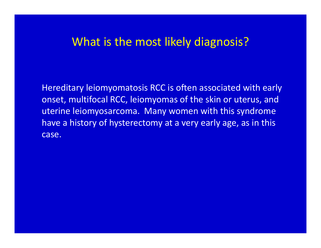### What is the most likely diagnosis?

Hereditary leiomyomatosis RCC is often associated with early onset, multifocal RCC, leiomyomas of the skin or uterus, and uterine leiomyosarcoma. Many women with this syndrome have <sup>a</sup> history of hysterectomy at <sup>a</sup> very early age, as in this case.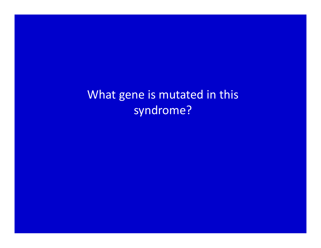What gene is mutated in this syndrome?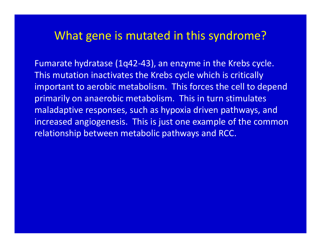#### What gene is mutated in this syndrome?

Fumarate hydratase (1q42‐43), an enzyme in the Krebs cycle. This mutation inactivates the Krebs cycle which is critically important to aerobic metabolism. This forces the cell to depend primarily on anaerobic metabolism. This in turn stimulates maladaptive responses, such as hypoxia driven pathways, and increased angiogenesis. This is just one example of the common relationship between metabolic pathways and RCC.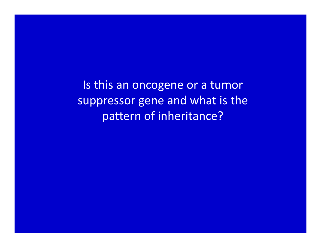Is this an oncogene or <sup>a</sup> tumor suppressor gene and what is the pattern of inheritance?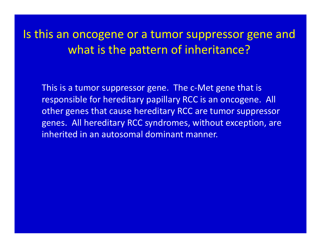Is this an oncogene or <sup>a</sup> tumor suppressor gene and what is the pattern of inheritance?

This is a tumor suppressor gene. The <sup>c</sup>‐Met gene that is responsible for hereditary papillary RCC is an oncogene. All other genes that cause hereditary RCC are tumor suppressor genes. All hereditary RCC syndromes, without exception, are inherited in an autosomal dominant manner.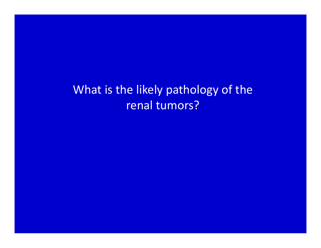What is the likely pathology of the renal tumors?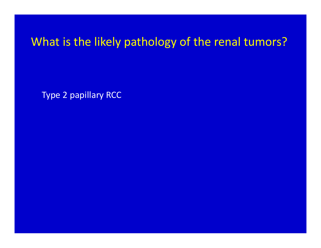What is the likely pathology of the renal tumors?

Type 2 papillary RCC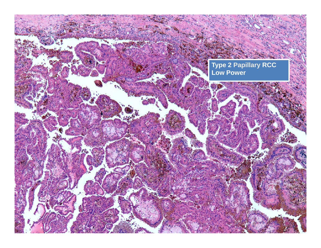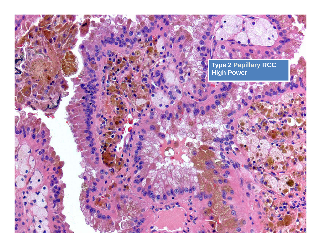**Type 2 Papillary RCC High Power**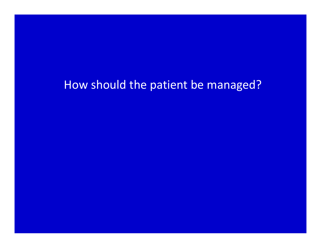## How should the patient be managed?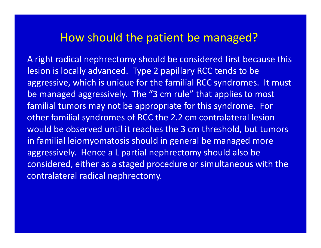### How should the patient be managed?

A right radical nephrectomy should be considered first because this lesion is locally advanced. Type 2 papillary RCC tends to be aggressive, which is unique for the familial RCC syndromes. It must be managed aggressively. The "3 cm rule" that applies to most familial tumors may not be appropriate for this syndrome. For other familial syndromes of RCC the 2.2 cm contralateral lesion would be observed until it reaches the 3 cm threshold, but tumors in familial leiomyomatosis should in general be managed more aggressively. Hence <sup>a</sup> L partial nephrectomy should also be considered, either as <sup>a</sup> staged procedure or simultaneous with the contralateral radical nephrectomy.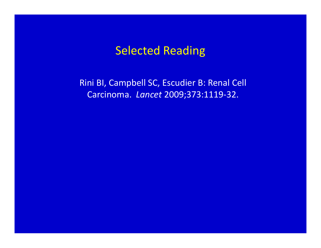#### Selected Reading

Rini BI, Campbell SC, Escudier B: Renal Cell Carcinoma. *Lancet* 2009;373:1119‐32.